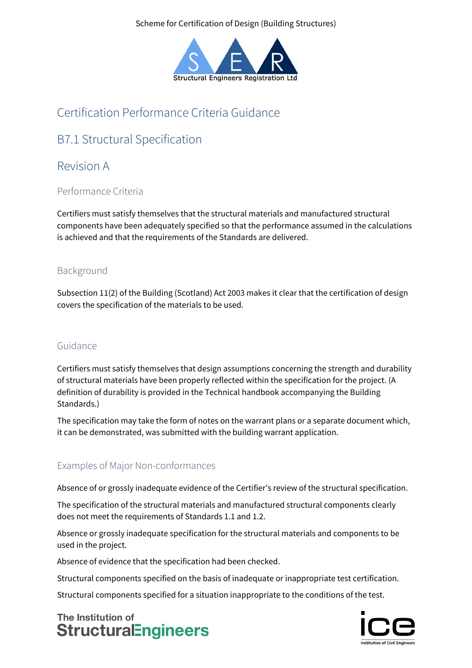Scheme for Certification of Design (Building Structures)



# Certification Performance Criteria Guidance

# B7.1 Structural Specification

## Revision A

### Performance Criteria

Certifiers must satisfy themselves that the structural materials and manufactured structural components have been adequately specified so that the performance assumed in the calculations is achieved and that the requirements of the Standards are delivered.

### Background

Subsection 11(2) of the Building (Scotland) Act 2003 makes it clear that the certification of design covers the specification of the materials to be used.

#### Guidance

Certifiers must satisfy themselves that design assumptions concerning the strength and durability of structural materials have been properly reflected within the specification for the project. (A definition of durability is provided in the Technical handbook accompanying the Building Standards.)

The specification may take the form of notes on the warrant plans or a separate document which, it can be demonstrated, was submitted with the building warrant application.

### Examples of Major Non-conformances

Absence of or grossly inadequate evidence of the Certifier's review of the structural specification.

The specification of the structural materials and manufactured structural components clearly does not meet the requirements of Standards 1.1 and 1.2.

Absence or grossly inadequate specification for the structural materials and components to be used in the project.

Absence of evidence that the specification had been checked.

Structural components specified on the basis of inadequate or inappropriate test certification.

Structural components specified for a situation inappropriate to the conditions of the test.

The Institution of **StructuralEngineers**